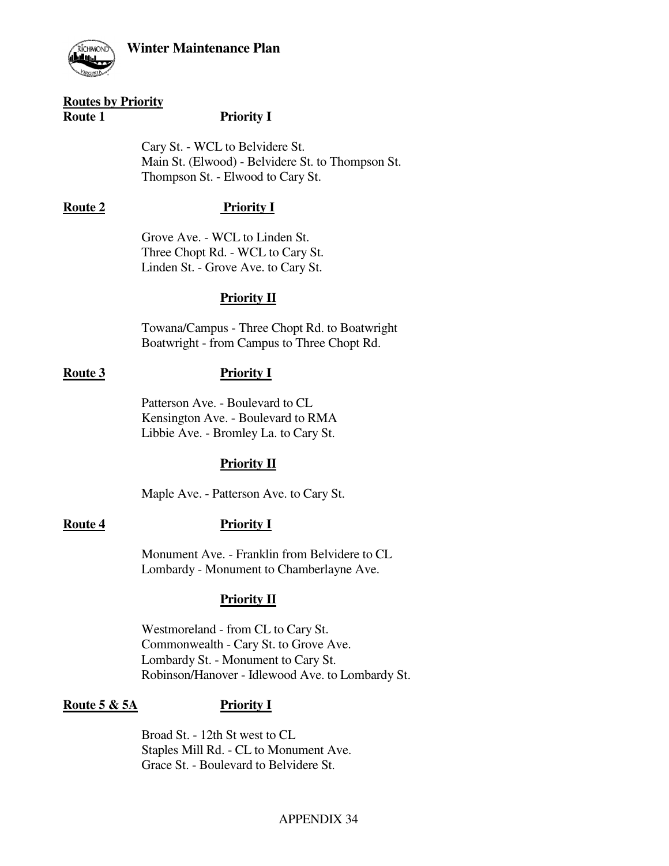

### **Routes by Priority**

### **Route 1** Priority I

 Cary St. - WCL to Belvidere St. Main St. (Elwood) - Belvidere St. to Thompson St. Thompson St. - Elwood to Cary St.

# **Route 2 Priority I**

 Grove Ave. - WCL to Linden St. Three Chopt Rd. - WCL to Cary St. Linden St. - Grove Ave. to Cary St.

## **Priority II**

 Towana/Campus - Three Chopt Rd. to Boatwright Boatwright - from Campus to Three Chopt Rd.

### **Route 3 Priority I**

 Patterson Ave. - Boulevard to CL Kensington Ave. - Boulevard to RMA Libbie Ave. - Bromley La. to Cary St.

## **Priority II**

Maple Ave. - Patterson Ave. to Cary St.

## **Route 4 Priority I**

 Monument Ave. - Franklin from Belvidere to CL Lombardy - Monument to Chamberlayne Ave.

## **Priority II**

 Westmoreland - from CL to Cary St. Commonwealth - Cary St. to Grove Ave. Lombardy St. - Monument to Cary St. Robinson/Hanover - Idlewood Ave. to Lombardy St.

# **Route 5 & 5A Priority I**

 Broad St. - 12th St west to CL Staples Mill Rd. - CL to Monument Ave. Grace St. - Boulevard to Belvidere St.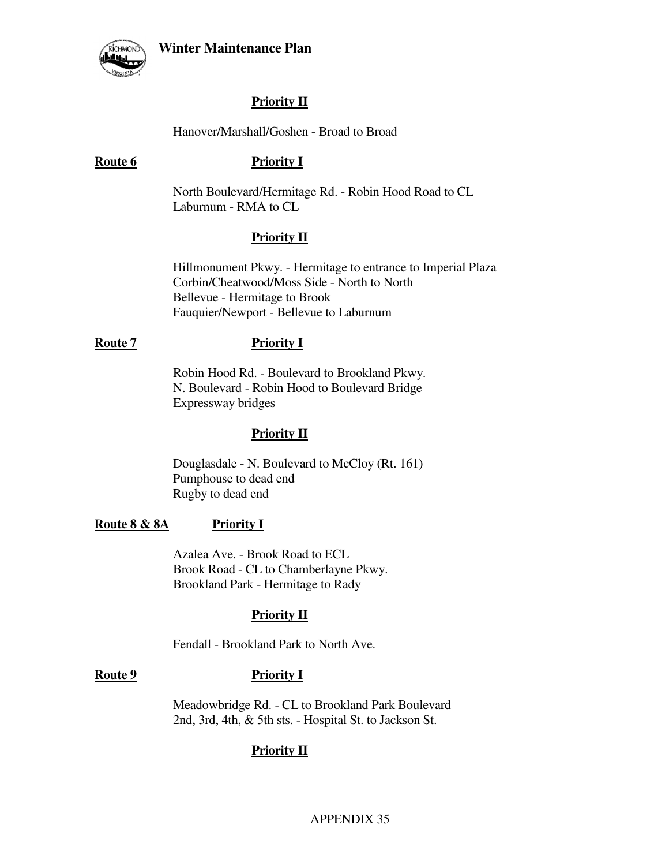

# **Priority II**

### Hanover/Marshall/Goshen - Broad to Broad

### **Route 6** Priority I

 North Boulevard/Hermitage Rd. - Robin Hood Road to CL Laburnum - RMA to CL

## **Priority II**

 Hillmonument Pkwy. - Hermitage to entrance to Imperial Plaza Corbin/Cheatwood/Moss Side - North to North Bellevue - Hermitage to Brook Fauquier/Newport - Bellevue to Laburnum

### **Route 7** Priority I

 Robin Hood Rd. - Boulevard to Brookland Pkwy. N. Boulevard - Robin Hood to Boulevard Bridge Expressway bridges

### **Priority II**

 Douglasdale - N. Boulevard to McCloy (Rt. 161) Pumphouse to dead end Rugby to dead end

### **Route 8 & 8A Priority I**

 Azalea Ave. - Brook Road to ECL Brook Road - CL to Chamberlayne Pkwy. Brookland Park - Hermitage to Rady

### **Priority II**

Fendall - Brookland Park to North Ave.

### **Route 9 Priority I**

 Meadowbridge Rd. - CL to Brookland Park Boulevard 2nd, 3rd, 4th, & 5th sts. - Hospital St. to Jackson St.

## **Priority II**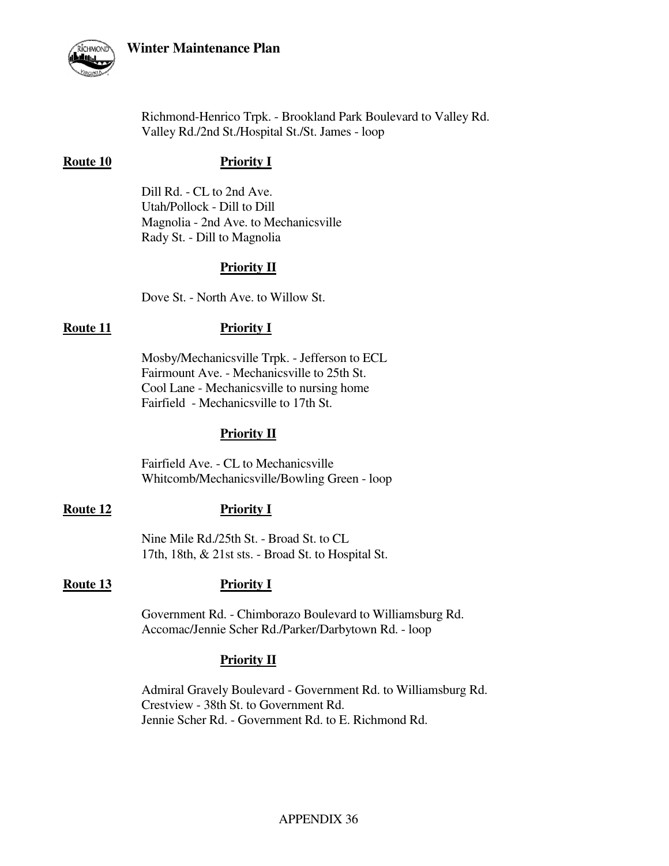

 Richmond-Henrico Trpk. - Brookland Park Boulevard to Valley Rd. Valley Rd./2nd St./Hospital St./St. James - loop

### **Route 10** Priority I

 Dill Rd. - CL to 2nd Ave. Utah/Pollock - Dill to Dill Magnolia - 2nd Ave. to Mechanicsville Rady St. - Dill to Magnolia

## **Priority II**

Dove St. - North Ave. to Willow St.

### **Route 11** Priority I

 Mosby/Mechanicsville Trpk. - Jefferson to ECL Fairmount Ave. - Mechanicsville to 25th St. Cool Lane - Mechanicsville to nursing home Fairfield - Mechanicsville to 17th St.

### **Priority II**

 Fairfield Ave. - CL to Mechanicsville Whitcomb/Mechanicsville/Bowling Green - loop

### **Route 12** Priority I

 Nine Mile Rd./25th St. - Broad St. to CL 17th, 18th, & 21st sts. - Broad St. to Hospital St.

### **Route 13** Priority I

 Government Rd. - Chimborazo Boulevard to Williamsburg Rd. Accomac/Jennie Scher Rd./Parker/Darbytown Rd. - loop

## **Priority II**

 Admiral Gravely Boulevard - Government Rd. to Williamsburg Rd. Crestview - 38th St. to Government Rd. Jennie Scher Rd. - Government Rd. to E. Richmond Rd.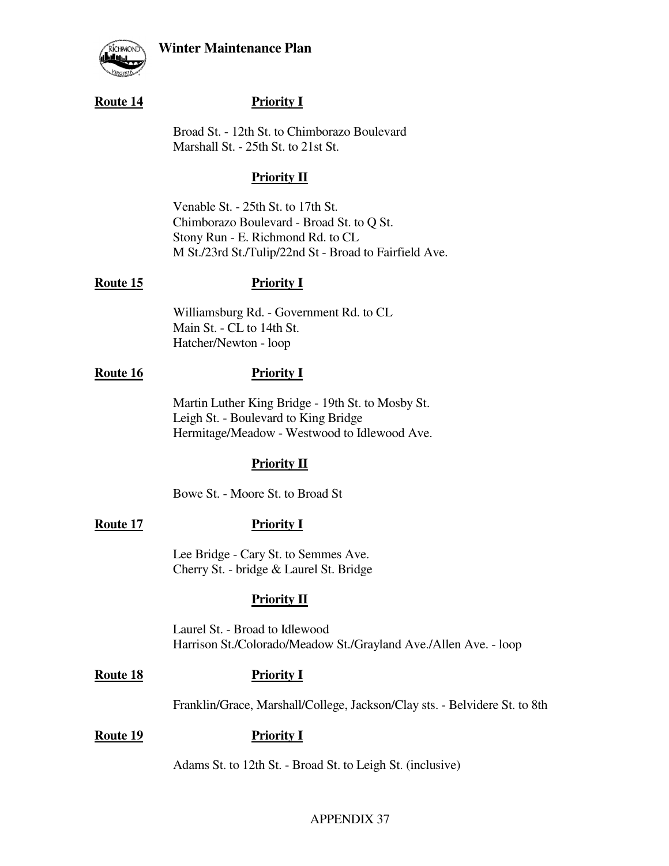

### **Route 14** Priority I

 Broad St. - 12th St. to Chimborazo Boulevard Marshall St. - 25th St. to 21st St.

### **Priority II**

 Venable St. - 25th St. to 17th St. Chimborazo Boulevard - Broad St. to Q St. Stony Run - E. Richmond Rd. to CL M St./23rd St./Tulip/22nd St - Broad to Fairfield Ave.

### **Route 15** Priority I

 Williamsburg Rd. - Government Rd. to CL Main St. - CL to 14th St. Hatcher/Newton - loop

## **Route 16** Priority I

 Martin Luther King Bridge - 19th St. to Mosby St. Leigh St. - Boulevard to King Bridge Hermitage/Meadow - Westwood to Idlewood Ave.

## **Priority II**

Bowe St. - Moore St. to Broad St

## **Route 17** Priority I

 Lee Bridge - Cary St. to Semmes Ave. Cherry St. - bridge & Laurel St. Bridge

## **Priority II**

 Laurel St. - Broad to Idlewood Harrison St./Colorado/Meadow St./Grayland Ave./Allen Ave. - loop

### **Route 18 Priority I**

Franklin/Grace, Marshall/College, Jackson/Clay sts. - Belvidere St. to 8th

### **Route 19** Priority I

Adams St. to 12th St. - Broad St. to Leigh St. (inclusive)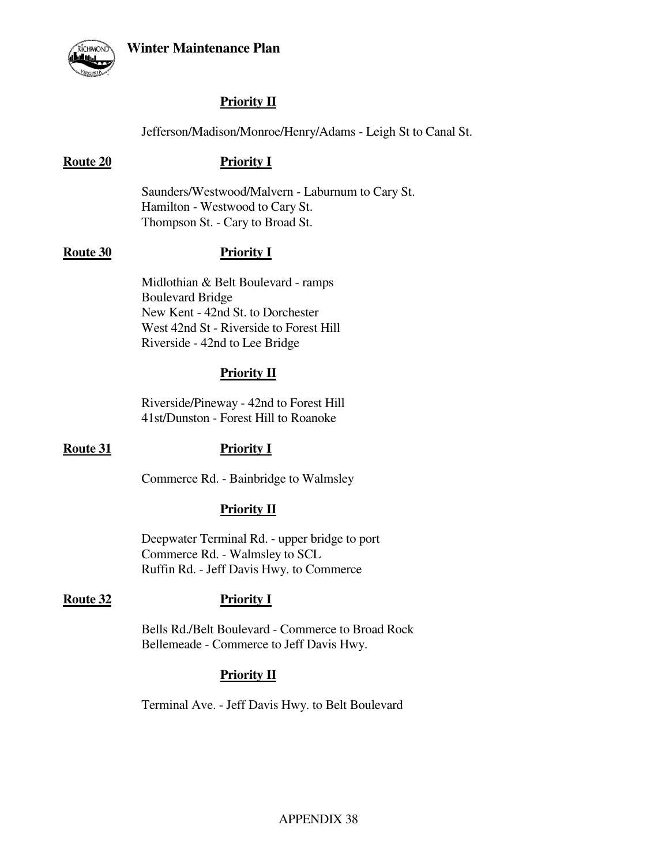

# **Priority II**

Jefferson/Madison/Monroe/Henry/Adams - Leigh St to Canal St.

### **Route 20 Priority I**

 Saunders/Westwood/Malvern - Laburnum to Cary St. Hamilton - Westwood to Cary St. Thompson St. - Cary to Broad St.

### **Route 30** Priority I

 Midlothian & Belt Boulevard - ramps Boulevard Bridge New Kent - 42nd St. to Dorchester West 42nd St - Riverside to Forest Hill Riverside - 42nd to Lee Bridge

## **Priority II**

 Riverside/Pineway - 42nd to Forest Hill 41st/Dunston - Forest Hill to Roanoke

### **Route 31** Priority I

Commerce Rd. - Bainbridge to Walmsley

## **Priority II**

 Deepwater Terminal Rd. - upper bridge to port Commerce Rd. - Walmsley to SCL Ruffin Rd. - Jeff Davis Hwy. to Commerce

### Route 32 **Priority I**

 Bells Rd./Belt Boulevard - Commerce to Broad Rock Bellemeade - Commerce to Jeff Davis Hwy.

## **Priority II**

Terminal Ave. - Jeff Davis Hwy. to Belt Boulevard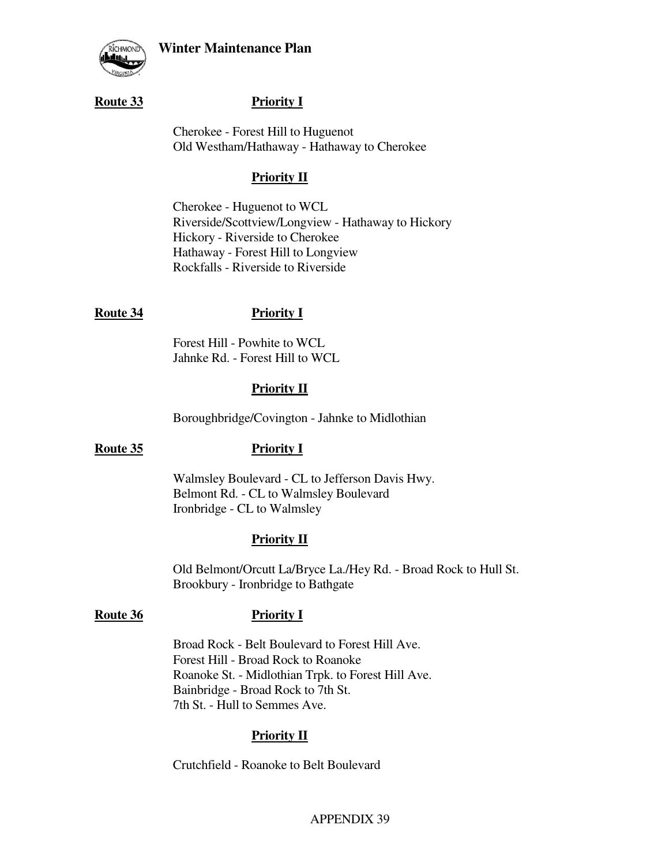

### **Route 33** Priority I

 Cherokee - Forest Hill to Huguenot Old Westham/Hathaway - Hathaway to Cherokee

### **Priority II**

 Cherokee - Huguenot to WCL Riverside/Scottview/Longview - Hathaway to Hickory Hickory - Riverside to Cherokee Hathaway - Forest Hill to Longview Rockfalls - Riverside to Riverside

### **Route 34 Priority I**

 Forest Hill - Powhite to WCL Jahnke Rd. - Forest Hill to WCL

### **Priority II**

Boroughbridge/Covington - Jahnke to Midlothian

### Route 35 **Priority I**

 Walmsley Boulevard - CL to Jefferson Davis Hwy. Belmont Rd. - CL to Walmsley Boulevard Ironbridge - CL to Walmsley

### **Priority II**

 Old Belmont/Orcutt La/Bryce La./Hey Rd. - Broad Rock to Hull St. Brookbury - Ironbridge to Bathgate

### **Route 36** Priority I

 Broad Rock - Belt Boulevard to Forest Hill Ave. Forest Hill - Broad Rock to Roanoke Roanoke St. - Midlothian Trpk. to Forest Hill Ave. Bainbridge - Broad Rock to 7th St. 7th St. - Hull to Semmes Ave.

### **Priority II**

Crutchfield - Roanoke to Belt Boulevard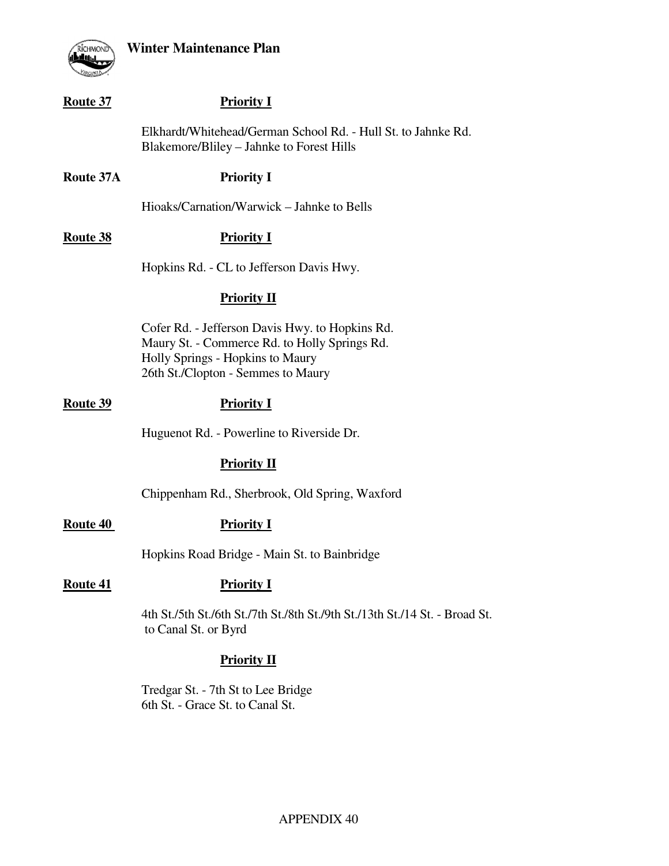



# **Route 37** Priority I Elkhardt/Whitehead/German School Rd. - Hull St. to Jahnke Rd. Blakemore/Bliley – Jahnke to Forest Hills **Route 37A Priority I**  Hioaks/Carnation/Warwick – Jahnke to Bells **Route 38** Priority I Hopkins Rd. - CL to Jefferson Davis Hwy.  **Priority II** Cofer Rd. - Jefferson Davis Hwy. to Hopkins Rd. Maury St. - Commerce Rd. to Holly Springs Rd. Holly Springs - Hopkins to Maury 26th St./Clopton - Semmes to Maury

### **Route 39** Priority I

Huguenot Rd. - Powerline to Riverside Dr.

### **Priority II**

Chippenham Rd., Sherbrook, Old Spring, Waxford

Route 40 Priority I

Hopkins Road Bridge - Main St. to Bainbridge

### Route 41 Priority I

 4th St./5th St./6th St./7th St./8th St./9th St./13th St./14 St. - Broad St. to Canal St. or Byrd

### **Priority II**

 Tredgar St. - 7th St to Lee Bridge 6th St. - Grace St. to Canal St.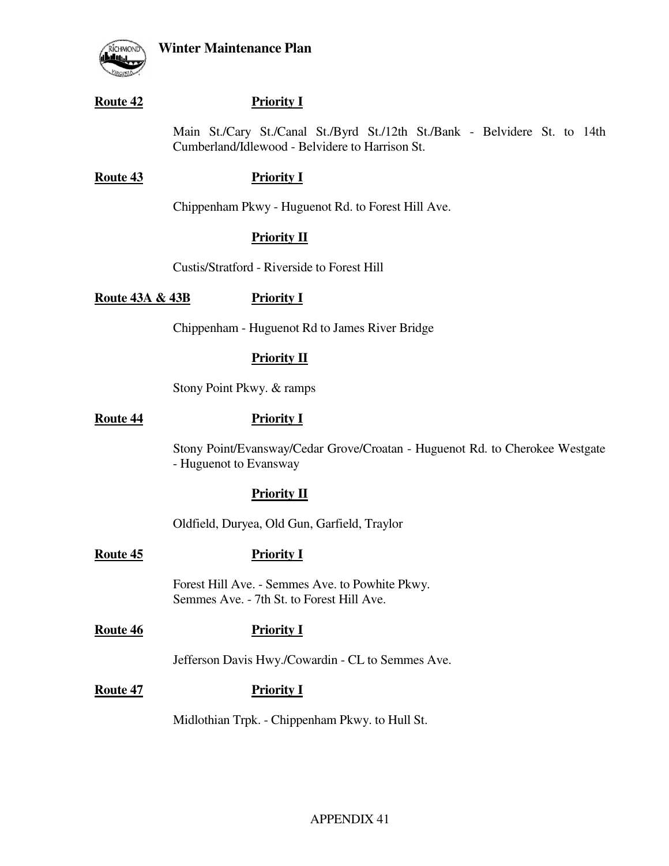

### **Route 42** Priority I

 Main St./Cary St./Canal St./Byrd St./12th St./Bank - Belvidere St. to 14th Cumberland/Idlewood - Belvidere to Harrison St.

### **Route 43** Priority I

Chippenham Pkwy - Huguenot Rd. to Forest Hill Ave.

## **Priority II**

Custis/Stratford - Riverside to Forest Hill

Route 43A & 43B Priority I

Chippenham - Huguenot Rd to James River Bridge

## **Priority II**

Stony Point Pkwy. & ramps

### **Route 44** Priority I

 Stony Point/Evansway/Cedar Grove/Croatan - Huguenot Rd. to Cherokee Westgate - Huguenot to Evansway

## **Priority II**

Oldfield, Duryea, Old Gun, Garfield, Traylor

## **Route 45** Priority I

 Forest Hill Ave. - Semmes Ave. to Powhite Pkwy. Semmes Ave. - 7th St. to Forest Hill Ave.

## **Route 46 Priority I**

Jefferson Davis Hwy./Cowardin - CL to Semmes Ave.

# **Route 47** Priority I

Midlothian Trpk. - Chippenham Pkwy. to Hull St.